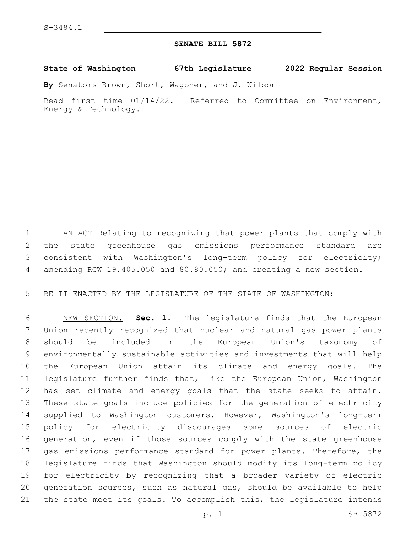## **SENATE BILL 5872**

**State of Washington 67th Legislature 2022 Regular Session**

**By** Senators Brown, Short, Wagoner, and J. Wilson

Read first time 01/14/22. Referred to Committee on Environment, Energy & Technology.

 AN ACT Relating to recognizing that power plants that comply with the state greenhouse gas emissions performance standard are consistent with Washington's long-term policy for electricity; amending RCW 19.405.050 and 80.80.050; and creating a new section.

BE IT ENACTED BY THE LEGISLATURE OF THE STATE OF WASHINGTON:

 NEW SECTION. **Sec. 1.** The legislature finds that the European Union recently recognized that nuclear and natural gas power plants should be included in the European Union's taxonomy of environmentally sustainable activities and investments that will help the European Union attain its climate and energy goals. The legislature further finds that, like the European Union, Washington has set climate and energy goals that the state seeks to attain. These state goals include policies for the generation of electricity supplied to Washington customers. However, Washington's long-term policy for electricity discourages some sources of electric generation, even if those sources comply with the state greenhouse 17 gas emissions performance standard for power plants. Therefore, the legislature finds that Washington should modify its long-term policy for electricity by recognizing that a broader variety of electric generation sources, such as natural gas, should be available to help the state meet its goals. To accomplish this, the legislature intends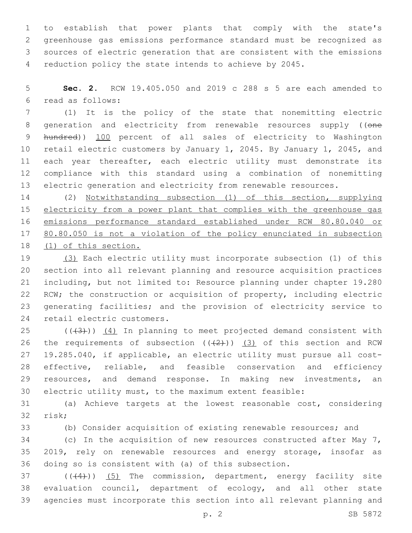to establish that power plants that comply with the state's greenhouse gas emissions performance standard must be recognized as sources of electric generation that are consistent with the emissions reduction policy the state intends to achieve by 2045.

 **Sec. 2.** RCW 19.405.050 and 2019 c 288 s 5 are each amended to read as follows:6

 (1) It is the policy of the state that nonemitting electric 8 generation and electricity from renewable resources supply ((one hundred)) 100 percent of all sales of electricity to Washington retail electric customers by January 1, 2045. By January 1, 2045, and 11 each year thereafter, each electric utility must demonstrate its compliance with this standard using a combination of nonemitting electric generation and electricity from renewable resources.

 (2) Notwithstanding subsection (1) of this section, supplying 15 electricity from a power plant that complies with the greenhouse gas emissions performance standard established under RCW 80.80.040 or 80.80.050 is not a violation of the policy enunciated in subsection (1) of this section.

 (3) Each electric utility must incorporate subsection (1) of this section into all relevant planning and resource acquisition practices including, but not limited to: Resource planning under chapter 19.280 RCW; the construction or acquisition of property, including electric generating facilities; and the provision of electricity service to 24 retail electric customers.

 ( $(\overline{3})$ )  $(4)$  In planning to meet projected demand consistent with 26 the requirements of subsection  $((+2+))$   $(3)$  of this section and RCW 19.285.040, if applicable, an electric utility must pursue all cost- effective, reliable, and feasible conservation and efficiency resources, and demand response. In making new investments, an electric utility must, to the maximum extent feasible:

 (a) Achieve targets at the lowest reasonable cost, considering 32 risk;

(b) Consider acquisition of existing renewable resources; and

34 (c) In the acquisition of new resources constructed after May 7, 2019, rely on renewable resources and energy storage, insofar as doing so is consistent with (a) of this subsection.

 $(1)$  ( $(4)$ )) (5) The commission, department, energy facility site evaluation council, department of ecology, and all other state agencies must incorporate this section into all relevant planning and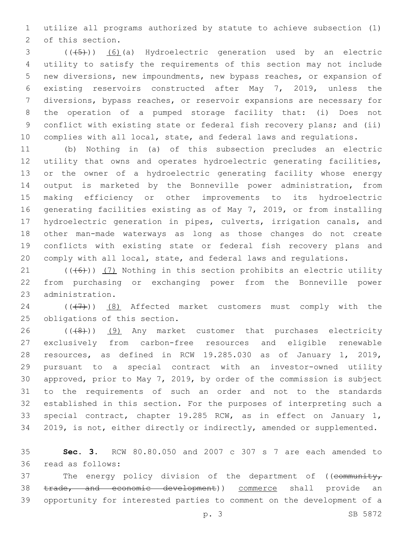utilize all programs authorized by statute to achieve subsection (1) 2 of this section.

3 (( $(45)$ )) (6)(a) Hydroelectric generation used by an electric utility to satisfy the requirements of this section may not include new diversions, new impoundments, new bypass reaches, or expansion of existing reservoirs constructed after May 7, 2019, unless the diversions, bypass reaches, or reservoir expansions are necessary for the operation of a pumped storage facility that: (i) Does not conflict with existing state or federal fish recovery plans; and (ii) complies with all local, state, and federal laws and regulations.

 (b) Nothing in (a) of this subsection precludes an electric utility that owns and operates hydroelectric generating facilities, or the owner of a hydroelectric generating facility whose energy output is marketed by the Bonneville power administration, from making efficiency or other improvements to its hydroelectric generating facilities existing as of May 7, 2019, or from installing hydroelectric generation in pipes, culverts, irrigation canals, and other man-made waterways as long as those changes do not create conflicts with existing state or federal fish recovery plans and comply with all local, state, and federal laws and regulations.

21  $((+6+))$   $(7)$  Nothing in this section prohibits an electric utility from purchasing or exchanging power from the Bonneville power 23 administration.

24  $((+7+))$   $(8)$  Affected market customers must comply with the 25 obligations of this section.

 ( $(48)$ )) (9) Any market customer that purchases electricity exclusively from carbon-free resources and eligible renewable resources, as defined in RCW 19.285.030 as of January 1, 2019, pursuant to a special contract with an investor-owned utility approved, prior to May 7, 2019, by order of the commission is subject to the requirements of such an order and not to the standards established in this section. For the purposes of interpreting such a special contract, chapter 19.285 RCW, as in effect on January 1, 2019, is not, either directly or indirectly, amended or supplemented.

 **Sec. 3.** RCW 80.80.050 and 2007 c 307 s 7 are each amended to read as follows:36

37 The energy policy division of the department of ((community, 38 trade, and economic development)) commerce shall provide an opportunity for interested parties to comment on the development of a